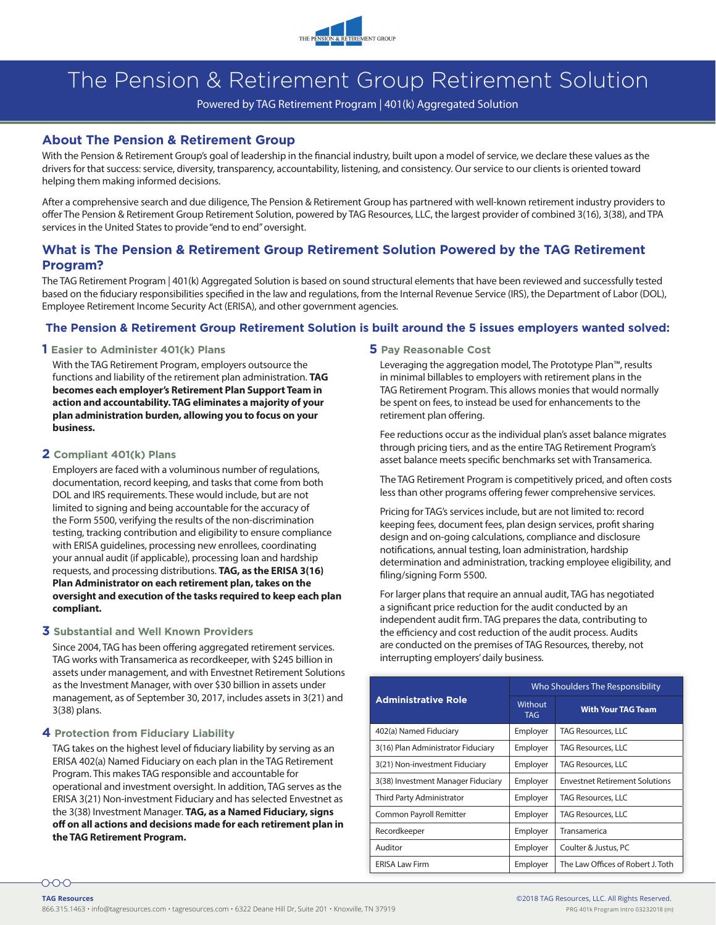

# The Pension & Retirement Group Retirement Solution

Powered by TAG Retirement Program | 401(k) Aggregated Solution

#### **About The Pension & Retirement Group**

With the Pension & Retirement Group's goal of leadership in the financial industry, built upon a model of service, we declare these values as the drivers for that success: service, diversity, transparency, accountability, listening, and consistency. Our service to our clients is oriented toward helping them making informed decisions.

After a comprehensive search and due diligence, The Pension & Retirement Group has partnered with well-known retirement industry providers to offer The Pension & Retirement Group Retirement Solution, powered by TAG Resources, LLC, the largest provider of combined 3(16), 3(38), and TPA services in the United States to provide "end to end" oversight.

### **What is The Pension & Retirement Group Retirement Solution Powered by the TAG Retirement Program?**

The TAG Retirement Program | 401(k) Aggregated Solution is based on sound structural elements that have been reviewed and successfully tested based on the fiduciary responsibilities specified in the law and regulations, from the Internal Revenue Service (IRS), the Department of Labor (DOL), Employee Retirement Income Security Act (ERISA), and other government agencies.

#### **The Pension & Retirement Group Retirement Solution is built around the 5 issues employers wanted solved:**

#### **1 Easier to Administer 401(k) Plans**

With the TAG Retirement Program, employers outsource the functions and liability of the retirement plan administration. **TAG becomes each employer's Retirement Plan Support Team in action and accountability. TAG eliminates a majority of your plan administration burden, allowing you to focus on your business.**

#### **2 Compliant 401(k) Plans**

Employers are faced with a voluminous number of regulations, documentation, record keeping, and tasks that come from both DOL and IRS requirements. These would include, but are not limited to signing and being accountable for the accuracy of the Form 5500, verifying the results of the non-discrimination testing, tracking contribution and eligibility to ensure compliance with ERISA guidelines, processing new enrollees, coordinating your annual audit (if applicable), processing loan and hardship requests, and processing distributions. **TAG, as the ERISA 3(16) Plan Administrator on each retirement plan, takes on the oversight and execution of the tasks required to keep each plan compliant.**

#### **3 Substantial and Well Known Providers**

Since 2004, TAG has been offering aggregated retirement services. TAG works with Transamerica as recordkeeper, with \$245 billion in assets under management, and with Envestnet Retirement Solutions as the Investment Manager, with over \$30 billion in assets under management, as of September 30, 2017, includes assets in 3(21) and 3(38) plans.

#### **4 Protection from Fiduciary Liability**

TAG takes on the highest level of fiduciary liability by serving as an ERISA 402(a) Named Fiduciary on each plan in the TAG Retirement Program. This makes TAG responsible and accountable for operational and investment oversight. In addition, TAG serves as the ERISA 3(21) Non-investment Fiduciary and has selected Envestnet as the 3(38) Investment Manager. **TAG, as a Named Fiduciary, signs off on all actions and decisions made for each retirement plan in the TAG Retirement Program.**

#### **5 Pay Reasonable Cost**

Leveraging the aggregation model, The Prototype Plan™, results in minimal billables to employers with retirement plans in the TAG Retirement Program. This allows monies that would normally be spent on fees, to instead be used for enhancements to the retirement plan offering.

Fee reductions occur as the individual plan's asset balance migrates through pricing tiers, and as the entire TAG Retirement Program's asset balance meets specific benchmarks set with Transamerica.

The TAG Retirement Program is competitively priced, and often costs less than other programs offering fewer comprehensive services.

Pricing for TAG's services include, but are not limited to: record keeping fees, document fees, plan design services, profit sharing design and on-going calculations, compliance and disclosure notifications, annual testing, loan administration, hardship determination and administration, tracking employee eligibility, and filing/signing Form 5500.

For larger plans that require an annual audit, TAG has negotiated a significant price reduction for the audit conducted by an independent audit firm. TAG prepares the data, contributing to the efficiency and cost reduction of the audit process. Audits are conducted on the premises of TAG Resources, thereby, not interrupting employers' daily business.

| <b>Administrative Role</b>         | Who Shoulders The Responsibility |                                       |
|------------------------------------|----------------------------------|---------------------------------------|
|                                    | Without<br><b>TAG</b>            | <b>With Your TAG Team</b>             |
| 402(a) Named Fiduciary             | Employer                         | TAG Resources, LLC                    |
| 3(16) Plan Administrator Fiduciary | Employer                         | TAG Resources, LLC                    |
| 3(21) Non-investment Fiduciary     | Employer                         | <b>TAG Resources, LLC</b>             |
| 3(38) Investment Manager Fiduciary | Employer                         | <b>Envestnet Retirement Solutions</b> |
| Third Party Administrator          | Employer                         | <b>TAG Resources, LLC</b>             |
| Common Payroll Remitter            | Employer                         | <b>TAG Resources, LLC</b>             |
| Recordkeeper                       | Employer                         | Transamerica                          |
| Auditor                            | Employer                         | Coulter & Justus, PC                  |
| <b>ERISA Law Firm</b>              | Employer                         | The Law Offices of Robert J. Toth     |

000-**TAG Resources**

866.315.1463 • info@tagresources.com • tagresources.com • 6322 Deane Hill Dr, Suite 201 • Knoxville, TN 37919 PRG 401k Program Intro 03232018 (m)